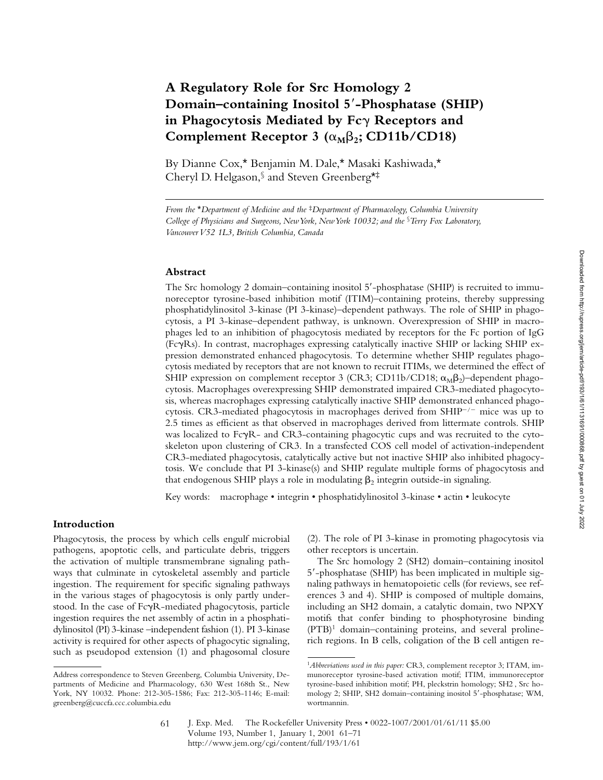# **A Regulatory Role for Src Homology 2 Domain–containing Inositol 5**9**-Phosphatase (SHIP) in Phagocytosis Mediated by Fc**g **Receptors and** Complement Receptor 3  $(\alpha_M \beta_2; CD11b/CD18)$

By Dianne Cox,\* Benjamin M. Dale,\* Masaki Kashiwada,\* Cheryl D. Helgason,§ and Steven Greenberg\*‡

## **Abstract**

The Src homology 2 domain–containing inositol 5'-phosphatase (SHIP) is recruited to immunoreceptor tyrosine-based inhibition motif (ITIM)–containing proteins, thereby suppressing phosphatidylinositol 3-kinase (PI 3-kinase)–dependent pathways. The role of SHIP in phagocytosis, a PI 3-kinase–dependent pathway, is unknown. Overexpression of SHIP in macrophages led to an inhibition of phagocytosis mediated by receptors for the Fc portion of IgG (FcgRs). In contrast, macrophages expressing catalytically inactive SHIP or lacking SHIP expression demonstrated enhanced phagocytosis. To determine whether SHIP regulates phagocytosis mediated by receptors that are not known to recruit ITIMs, we determined the effect of SHIP expression on complement receptor 3 (CR3; CD11b/CD18;  $\alpha_{\text{M}}\beta_{2}$ )–dependent phagocytosis. Macrophages overexpressing SHIP demonstrated impaired CR3-mediated phagocytosis, whereas macrophages expressing catalytically inactive SHIP demonstrated enhanced phagocytosis. CR3-mediated phagocytosis in macrophages derived from  $SHIP^{-/-}$  mice was up to 2.5 times as efficient as that observed in macrophages derived from littermate controls. SHIP was localized to FcyR- and CR3-containing phagocytic cups and was recruited to the cytoskeleton upon clustering of CR3. In a transfected COS cell model of activation-independent CR3-mediated phagocytosis, catalytically active but not inactive SHIP also inhibited phagocytosis. We conclude that PI 3-kinase(s) and SHIP regulate multiple forms of phagocytosis and that endogenous SHIP plays a role in modulating  $\beta_2$  integrin outside-in signaling.

Key words: macrophage • integrin • phosphatidylinositol 3-kinase • actin • leukocyte

### **Introduction**

Phagocytosis, the process by which cells engulf microbial pathogens, apoptotic cells, and particulate debris, triggers the activation of multiple transmembrane signaling pathways that culminate in cytoskeletal assembly and particle ingestion. The requirement for specific signaling pathways in the various stages of phagocytosis is only partly understood. In the case of FcyR-mediated phagocytosis, particle ingestion requires the net assembly of actin in a phosphatidylinositol (PI) 3-kinase –independent fashion (1). PI 3-kinase activity is required for other aspects of phagocytic signaling, such as pseudopod extension (1) and phagosomal closure

(2). The role of PI 3-kinase in promoting phagocytosis via other receptors is uncertain.

The Src homology 2 (SH2) domain–containing inositol 5'-phosphatase (SHIP) has been implicated in multiple signaling pathways in hematopoietic cells (for reviews, see references 3 and 4). SHIP is composed of multiple domains, including an SH2 domain, a catalytic domain, two NPXY motifs that confer binding to phosphotyrosine binding (PTB)1 domain–containing proteins, and several prolinerich regions. In B cells, coligation of the B cell antigen re-

*From the* \**Department of Medicine and the* ‡*Department of Pharmacology, Columbia University College of Physicians and Surgeons, New York, New York 10032; and the* §*Terry Fox Laboratory, Vancouver V52 1L3, British Columbia, Canada*

Address correspondence to Steven Greenberg, Columbia University, Departments of Medicine and Pharmacology, 630 West 168th St., New York, NY 10032. Phone: 212-305-1586; Fax: 212-305-1146; E-mail: greenberg@cuccfa.ccc.columbia.edu

<sup>1</sup>*Abbreviations used in this paper:* CR3, complement receptor 3; ITAM, immunoreceptor tyrosine-based activation motif; ITIM, immunoreceptor tyrosine-based inhibition motif; PH, pleckstrin homology; SH2 , Src homology 2; SHIP, SH2 domain-containing inositol 5'-phosphatase; WM, wortmannin.

J. Exp. Med. © The Rockefeller University Press • 0022-1007/2001/01/61/11 \$5.00 Volume 193, Number 1, January 1, 2001 61–71 http://www.jem.org/cgi/content/full/193/1/61 61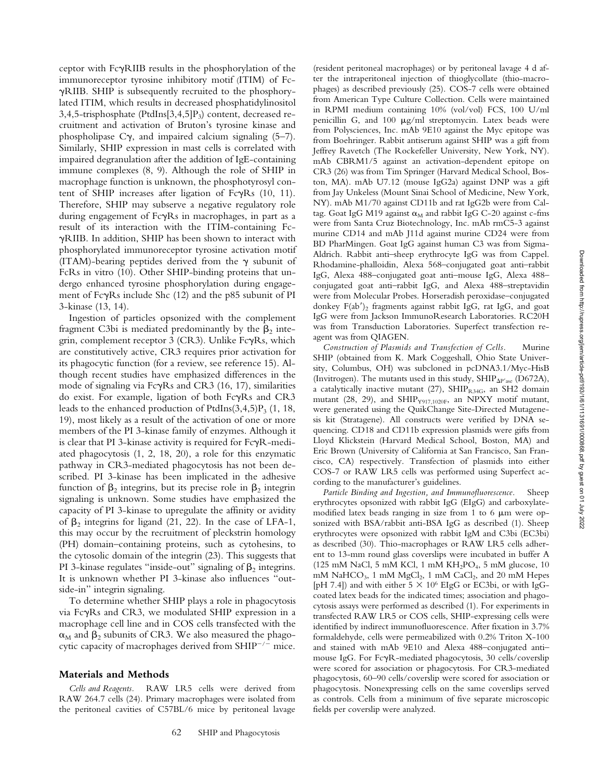ceptor with FcgRIIB results in the phosphorylation of the immunoreceptor tyrosine inhibitory motif (ITIM) of FcgRIIB. SHIP is subsequently recruited to the phosphorylated ITIM, which results in decreased phosphatidylinositol 3,4,5-trisphosphate (PtdIns $[3,4,5]P_3$ ) content, decreased recruitment and activation of Bruton's tyrosine kinase and phospholipase  $C_{\gamma}$ , and impaired calcium signaling (5–7). Similarly, SHIP expression in mast cells is correlated with impaired degranulation after the addition of IgE-containing immune complexes (8, 9). Although the role of SHIP in macrophage function is unknown, the phosphotyrosyl content of SHIP increases after ligation of  $Fc\gamma Rs$  (10, 11). Therefore, SHIP may subserve a negative regulatory role during engagement of FcyRs in macrophages, in part as a result of its interaction with the ITIM-containing FcgRIIB. In addition, SHIP has been shown to interact with phosphorylated immunoreceptor tyrosine activation motif (ITAM)-bearing peptides derived from the  $\gamma$  subunit of FcRs in vitro (10). Other SHIP-binding proteins that undergo enhanced tyrosine phosphorylation during engagement of  $Fc\gamma$ Rs include Shc (12) and the p85 subunit of PI 3-kinase (13, 14).

Ingestion of particles opsonized with the complement fragment C3bi is mediated predominantly by the  $\beta_2$  integrin, complement receptor 3 (CR3). Unlike  $Fc\gamma Rs$ , which are constitutively active, CR3 requires prior activation for its phagocytic function (for a review, see reference 15). Although recent studies have emphasized differences in the mode of signaling via  $Fc\gamma Rs$  and  $CR3$  (16, 17), similarities do exist. For example, ligation of both  $Fc\gamma Rs$  and  $CR3$ leads to the enhanced production of PtdIns $(3,4,5)P_3$  (1, 18, 19), most likely as a result of the activation of one or more members of the PI 3-kinase family of enzymes. Although it is clear that PI 3-kinase activity is required for  $Fc\gamma R$ -mediated phagocytosis (1, 2, 18, 20), a role for this enzymatic pathway in CR3-mediated phagocytosis has not been described. PI 3-kinase has been implicated in the adhesive function of  $\beta_2$  integrins, but its precise role in  $\beta_2$  integrin signaling is unknown. Some studies have emphasized the capacity of PI 3-kinase to upregulate the affinity or avidity of  $\beta_2$  integrins for ligand (21, 22). In the case of LFA-1, this may occur by the recruitment of pleckstrin homology (PH) domain–containing proteins, such as cytohesins, to the cytosolic domain of the integrin (23). This suggests that PI 3-kinase regulates "inside-out" signaling of  $\beta_2$  integrins. It is unknown whether PI 3-kinase also influences "outside-in" integrin signaling.

To determine whether SHIP plays a role in phagocytosis via FcgRs and CR3, we modulated SHIP expression in a macrophage cell line and in COS cells transfected with the  $\alpha_M$  and  $\beta_2$  subunits of CR3. We also measured the phagocytic capacity of macrophages derived from  $SHIP^{-/-}$  mice.

#### **Materials and Methods**

*Cells and Reagents.* RAW LR5 cells were derived from RAW 264.7 cells (24). Primary macrophages were isolated from the peritoneal cavities of C57BL/6 mice by peritoneal lavage

(resident peritoneal macrophages) or by peritoneal lavage 4 d after the intraperitoneal injection of thioglycollate (thio-macrophages) as described previously (25). COS-7 cells were obtained from American Type Culture Collection. Cells were maintained in RPMI medium containing 10% (vol/vol) FCS, 100 U/ml penicillin G, and 100  $\mu$ g/ml streptomycin. Latex beads were from Polysciences, Inc. mAb 9E10 against the Myc epitope was from Boehringer. Rabbit antiserum against SHIP was a gift from Jeffrey Ravetch (The Rockefeller University, New York, NY). mAb CBRM1/5 against an activation-dependent epitope on CR3 (26) was from Tim Springer (Harvard Medical School, Boston, MA). mAb U7.12 (mouse IgG2a) against DNP was a gift from Jay Unkeless (Mount Sinai School of Medicine, New York, NY). mAb M1/70 against CD11b and rat IgG2b were from Caltag. Goat IgG M19 against  $\alpha_M$  and rabbit IgG C-20 against c-fms were from Santa Cruz Biotechnology, Inc. mAb rmC5-3 against murine CD14 and mAb J11d against murine CD24 were from BD PharMingen. Goat IgG against human C3 was from Sigma-Aldrich. Rabbit anti–sheep erythrocyte IgG was from Cappel. Rhodamine-phalloidin, Alexa 568–conjugated goat anti–rabbit IgG, Alexa 488–conjugated goat anti–mouse IgG, Alexa 488– conjugated goat anti–rabbit IgG, and Alexa 488–streptavidin were from Molecular Probes. Horseradish peroxidase–conjugated donkey  $F(ab')_2$  fragments against rabbit IgG, rat IgG, and goat IgG were from Jackson ImmunoResearch Laboratories. RC20H was from Transduction Laboratories. Superfect transfection reagent was from QIAGEN.

*Construction of Plasmids and Transfection of Cells.* Murine SHIP (obtained from K. Mark Coggeshall, Ohio State University, Columbus, OH) was subcloned in pcDNA3.1/Myc-HisB (Invitrogen). The mutants used in this study,  $SHIP_{\Delta P'ase}$  (D672A), a catalytically inactive mutant (27),  $SHIP_{R34G}$ , an SH2 domain mutant (28, 29), and SHIP<sub>Y917,1020F</sub>, an NPXY motif mutant, were generated using the QuikChange Site-Directed Mutagenesis kit (Stratagene). All constructs were verified by DNA sequencing. CD18 and CD11b expression plasmids were gifts from Lloyd Klickstein (Harvard Medical School, Boston, MA) and Eric Brown (University of California at San Francisco, San Francisco, CA) respectively. Transfection of plasmids into either COS-7 or RAW LR5 cells was performed using Superfect according to the manufacturer's guidelines.

*Particle Binding and Ingestion, and Immunofluorescence.* Sheep erythrocytes opsonized with rabbit IgG (EIgG) and carboxylatemodified latex beads ranging in size from 1 to 6  $\mu$ m were opsonized with BSA/rabbit anti-BSA IgG as described (1). Sheep erythrocytes were opsonized with rabbit IgM and C3bi (EC3bi) as described (30). Thio-macrophages or RAW LR5 cells adherent to 13-mm round glass coverslips were incubated in buffer A (125 mM NaCl, 5 mM KCl, 1 mM  $KH_2PO_4$ , 5 mM glucose, 10 mM NaHCO<sub>3</sub>, 1 mM MgCl<sub>2</sub>, 1 mM CaCl<sub>2</sub>, and 20 mM Hepes [pH 7.4]) and with either  $5 \times 10^6$  EIgG or EC3bi, or with IgGcoated latex beads for the indicated times; association and phagocytosis assays were performed as described (1). For experiments in transfected RAW LR5 or COS cells, SHIP-expressing cells were identified by indirect immunofluorescence. After fixation in 3.7% formaldehyde, cells were permeabilized with 0.2% Triton X-100 and stained with mAb 9E10 and Alexa 488–conjugated anti– mouse IgG. For FcyR-mediated phagocytosis, 30 cells/coverslip were scored for association or phagocytosis. For CR3-mediated phagocytosis, 60–90 cells/coverslip were scored for association or phagocytosis. Nonexpressing cells on the same coverslips served as controls. Cells from a minimum of five separate microscopic fields per coverslip were analyzed.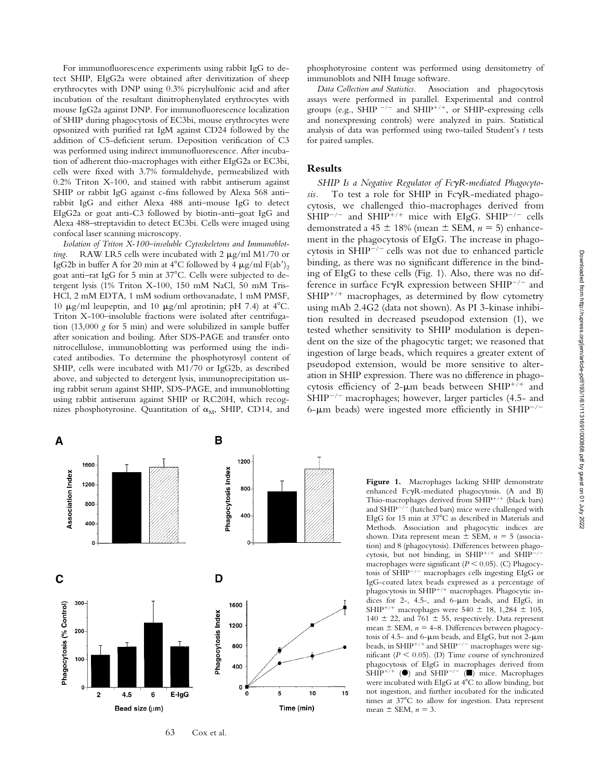For immunofluorescence experiments using rabbit IgG to detect SHIP, EIgG2a were obtained after derivitization of sheep erythrocytes with DNP using 0.3% picrylsulfonic acid and after incubation of the resultant dinitrophenylated erythrocytes with mouse IgG2a against DNP. For immunofluorescence localization of SHIP during phagocytosis of EC3bi, mouse erythrocytes were opsonized with purified rat IgM against CD24 followed by the addition of C5-deficient serum. Deposition verification of C3 was performed using indirect immunofluorescence. After incubation of adherent thio-macrophages with either EIgG2a or EC3bi, cells were fixed with 3.7% formaldehyde, permeabilized with 0.2% Triton X-100, and stained with rabbit antiserum against SHIP or rabbit IgG against c-fms followed by Alexa 568 anti– rabbit IgG and either Alexa 488 anti–mouse IgG to detect EIgG2a or goat anti-C3 followed by biotin-anti–goat IgG and Alexa 488–streptavidin to detect EC3bi. Cells were imaged using confocal laser scanning microscopy.

*Isolation of Triton X-100–insoluble Cytoskeletons and Immunoblotting.* RAW LR5 cells were incubated with 2  $\mu$ g/ml M1/70 or IgG2b in buffer A for 20 min at 4°C followed by 4  $\mu$ g/ml F(ab')<sub>2</sub> goat anti-rat IgG for 5 min at 37°C. Cells were subjected to detergent lysis (1% Triton X-100, 150 mM NaCl, 50 mM Tris-HCl, 2 mM EDTA, 1 mM sodium orthovanadate, 1 mM PMSF, 10  $\mu$ g/ml leupeptin, and 10  $\mu$ g/ml aprotinin; pH 7.4) at 4<sup>o</sup>C. Triton X-100–insoluble fractions were isolated after centrifugation (13,000 *g* for 5 min) and were solubilized in sample buffer after sonication and boiling. After SDS-PAGE and transfer onto nitrocellulose, immunoblotting was performed using the indicated antibodies. To determine the phosphotyrosyl content of SHIP, cells were incubated with M1/70 or IgG2b, as described above, and subjected to detergent lysis, immunoprecipitation using rabbit serum against SHIP, SDS-PAGE, and immunoblotting using rabbit antiserum against SHIP or RC20H, which recognizes phosphotyrosine. Quantitation of  $\alpha_M$ , SHIP, CD14, and

phosphotyrosine content was performed using densitometry of immunoblots and NIH Image software.

*Data Collection and Statistics.* Association and phagocytosis assays were performed in parallel. Experimental and control groups (e.g., SHIP  $^{-/-}$  and SHIP<sup>+/+</sup>, or SHIP-expressing cells and nonexpressing controls) were analyzed in pairs. Statistical analysis of data was performed using two-tailed Student's *t* tests for paired samples.

#### **Results**

*SHIP Is a Negative Regulator of Fc*g*R-mediated Phagocyto-*To test a role for SHIP in FcyR-mediated phagocytosis, we challenged thio-macrophages derived from  $SHIP^{-/-}$  and  $SHIP^{+/+}$  mice with EIgG. SHIP<sup>-/-</sup> cells demonstrated a 45  $\pm$  18% (mean  $\pm$  SEM,  $n = 5$ ) enhancement in the phagocytosis of EIgG. The increase in phagocytosis in  $SHIP^{-/-}$  cells was not due to enhanced particle binding, as there was no significant difference in the binding of EIgG to these cells (Fig. 1). Also, there was no difference in surface Fc $\gamma$ R expression between SHIP<sup>-/-</sup> and  $SHIP^{+/+}$  macrophages, as determined by flow cytometry using mAb 2.4G2 (data not shown). As PI 3-kinase inhibition resulted in decreased pseudopod extension (1), we tested whether sensitivity to SHIP modulation is dependent on the size of the phagocytic target; we reasoned that ingestion of large beads, which requires a greater extent of pseudopod extension, would be more sensitive to alteration in SHIP expression. There was no difference in phagocytosis efficiency of 2- $\mu$ m beads between SHIP<sup>+/+</sup> and  $SHIP^{-/-}$  macrophages; however, larger particles (4.5- and 6- $\mu$ m beads) were ingested more efficiently in SHIP<sup>-/-</sup>



63 Cox et al.

**Figure 1.** Macrophages lacking SHIP demonstrate enhanced FcyR-mediated phagocytosis. (A and B) Thio-macrophages derived from  $SHIP^{+/+}$  (black bars) and  $SHIP^{-/-}$  (hatched bars) mice were challenged with EIgG for 15 min at 37°C as described in Materials and Methods. Association and phagocytic indices are shown. Data represent mean  $\pm$  SEM,  $n = 5$  (association) and 8 (phagocytosis). Differences between phagocytosis, but not binding, in SHIP<sup>+/+</sup> and SHIP<sup>-/-</sup> macrophages were significant ( $P < 0.05$ ). (C) Phagocytosis of  $\text{SHIP}^{-/-}$  macrophages cells ingesting EIgG or IgG-coated latex beads expressed as a percentage of phagocytosis in SHIP<sup>+/+</sup> macrophages. Phagocytic indices for  $2-$ ,  $4.5-$ , and  $6-\mu m$  beads, and EIgG, in SHIP<sup>+/+</sup> macrophages were 540  $\pm$  18, 1,284  $\pm$  105, 140  $\pm$  22, and 761  $\pm$  55, respectively. Data represent mean  $\pm$  SEM,  $n = 4$ –8. Differences between phagocytosis of 4.5- and 6- $\mu$ m beads, and EIgG, but not 2- $\mu$ m beads, in SHIP<sup>+/+</sup> and SHIP<sup>-/-</sup> macrophages were significant  $(P < 0.05)$ . (D) Time course of synchronized phagocytosis of EIgG in macrophages derived from SHIP<sup>+/+</sup> ( $\bullet$ ) and SHIP<sup>-/-</sup> ( $\bullet$ ) mice. Macrophages were incubated with EIgG at 4°C to allow binding, but not ingestion, and further incubated for the indicated times at 37°C to allow for ingestion. Data represent mean  $\pm$  SEM,  $n = 3$ .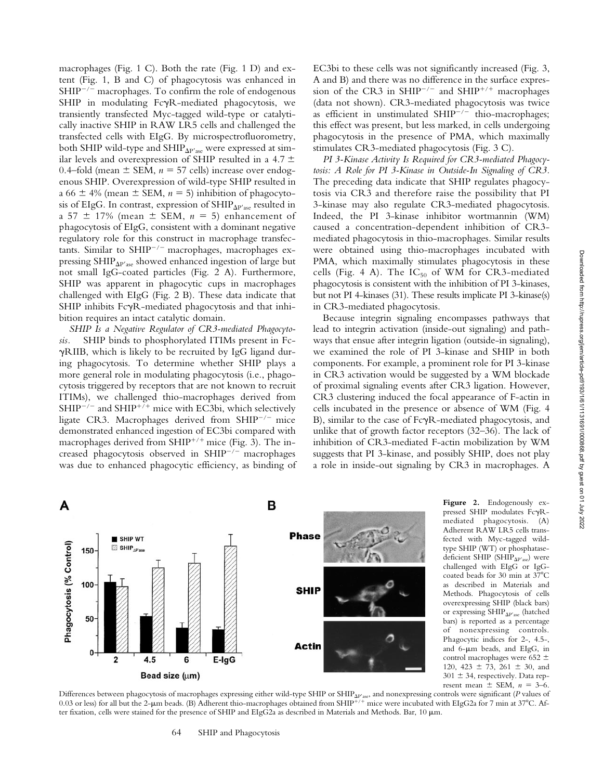macrophages (Fig. 1 C). Both the rate (Fig. 1 D) and extent (Fig. 1, B and C) of phagocytosis was enhanced in  $SHIP^{-/-}$  macrophages. To confirm the role of endogenous SHIP in modulating FcyR-mediated phagocytosis, we transiently transfected Myc-tagged wild-type or catalytically inactive SHIP in RAW LR5 cells and challenged the transfected cells with EIgG. By microspectrofluorometry, both SHIP wild-type and SHIP $_{\Delta P'ase}$  were expressed at similar levels and overexpression of SHIP resulted in a 4.7  $\pm$ 0.4–fold (mean  $\pm$  SEM,  $n = 57$  cells) increase over endogenous SHIP. Overexpression of wild-type SHIP resulted in a 66  $\pm$  4% (mean  $\pm$  SEM,  $n = 5$ ) inhibition of phagocytosis of EIgG. In contrast, expression of  $SHIP_{\Delta P'$ ase resulted in a 57  $\pm$  17% (mean  $\pm$  SEM,  $n = 5$ ) enhancement of phagocytosis of EIgG, consistent with a dominant negative regulatory role for this construct in macrophage transfectants. Similar to SHIP $^{-/-}$  macrophages, macrophages expressing  $SHIP<sub>AP'ase</sub>$  showed enhanced ingestion of large but not small IgG-coated particles (Fig. 2 A). Furthermore, SHIP was apparent in phagocytic cups in macrophages challenged with EIgG (Fig. 2 B). These data indicate that SHIP inhibits  $Fc\gamma R$ -mediated phagocytosis and that inhibition requires an intact catalytic domain.

*SHIP Is a Negative Regulator of CR3-mediated Phagocytosis.* SHIP binds to phosphorylated ITIMs present in Fc- $\gamma$ RIIB, which is likely to be recruited by IgG ligand during phagocytosis. To determine whether SHIP plays a more general role in modulating phagocytosis (i.e., phagocytosis triggered by receptors that are not known to recruit ITIMs), we challenged thio-macrophages derived from SHIP<sup>-/-</sup> and SHIP<sup>+/+</sup> mice with EC3bi, which selectively ligate CR3. Macrophages derived from SHIP $^{-/-}$  mice demonstrated enhanced ingestion of EC3bi compared with macrophages derived from SHIP<sup>+/+</sup> mice (Fig. 3). The increased phagocytosis observed in  $SHIP^{-/-}$  macrophages was due to enhanced phagocytic efficiency, as binding of EC3bi to these cells was not significantly increased (Fig. 3, A and B) and there was no difference in the surface expression of the CR3 in SHIP<sup>-/-</sup> and SHIP<sup>+/+</sup> macrophages (data not shown). CR3-mediated phagocytosis was twice as efficient in unstimulated  $SHIP^{-/-}$  thio-macrophages; this effect was present, but less marked, in cells undergoing phagocytosis in the presence of PMA, which maximally stimulates CR3-mediated phagocytosis (Fig. 3 C).

*PI 3-Kinase Activity Is Required for CR3-mediated Phagocytosis: A Role for PI 3-Kinase in Outside-In Signaling of CR3.* The preceding data indicate that SHIP regulates phagocytosis via CR3 and therefore raise the possibility that PI 3-kinase may also regulate CR3-mediated phagocytosis. Indeed, the PI 3-kinase inhibitor wortmannin (WM) caused a concentration-dependent inhibition of CR3 mediated phagocytosis in thio-macrophages. Similar results were obtained using thio-macrophages incubated with PMA, which maximally stimulates phagocytosis in these cells (Fig. 4 A). The  $IC_{50}$  of WM for CR3-mediated phagocytosis is consistent with the inhibition of PI 3-kinases, but not PI 4-kinases (31). These results implicate PI 3-kinase(s) in CR3-mediated phagocytosis.

Because integrin signaling encompasses pathways that lead to integrin activation (inside-out signaling) and pathways that ensue after integrin ligation (outside-in signaling), we examined the role of PI 3-kinase and SHIP in both components. For example, a prominent role for PI 3-kinase in CR3 activation would be suggested by a WM blockade of proximal signaling events after CR3 ligation. However, CR3 clustering induced the focal appearance of F-actin in cells incubated in the presence or absence of WM (Fig. 4 B), similar to the case of FcyR-mediated phagocytosis, and unlike that of growth factor receptors (32–36). The lack of inhibition of CR3-mediated F-actin mobilization by WM suggests that PI 3-kinase, and possibly SHIP, does not play a role in inside-out signaling by CR3 in macrophages. A



**Figure 2.** Endogenously expressed SHIP modulates  $Fc\gamma R$ mediated phagocytosis. (A) Adherent RAW LR5 cells transfected with Myc-tagged wildtype SHIP (WT) or phosphatasedeficient SHIP (SHIP $_{\Delta P'$ ase) were challenged with EIgG or IgGcoated beads for 30 min at  $37^{\circ}$ C as described in Materials and Methods. Phagocytosis of cells overexpressing SHIP (black bars) or expressing  $SHIP_{\Delta P'ase}$  (hatched bars) is reported as a percentage of nonexpressing controls. Phagocytic indices for 2-, 4.5-, and 6-um beads, and EIgG, in control macrophages were 652  $\pm$ 120, 423  $\pm$  73, 261  $\pm$  30, and  $301 \pm 34$ , respectively. Data represent mean  $\pm$  SEM,  $n = 3-6$ .

Differences between phagocytosis of macrophages expressing either wild-type SHIP or SHIP<sub>AP'ase</sub>, and nonexpressing controls were significant (*P* values of 0.03 or less) for all but the 2-µm beads. (B) Adherent thio-macrophages obtained from SHIP<sup>+/+</sup> mice were incubated with EIgG2a for 7 min at 37°C. After fixation, cells were stained for the presence of SHIP and EIgG2a as described in Materials and Methods. Bar,  $10 \mu m$ .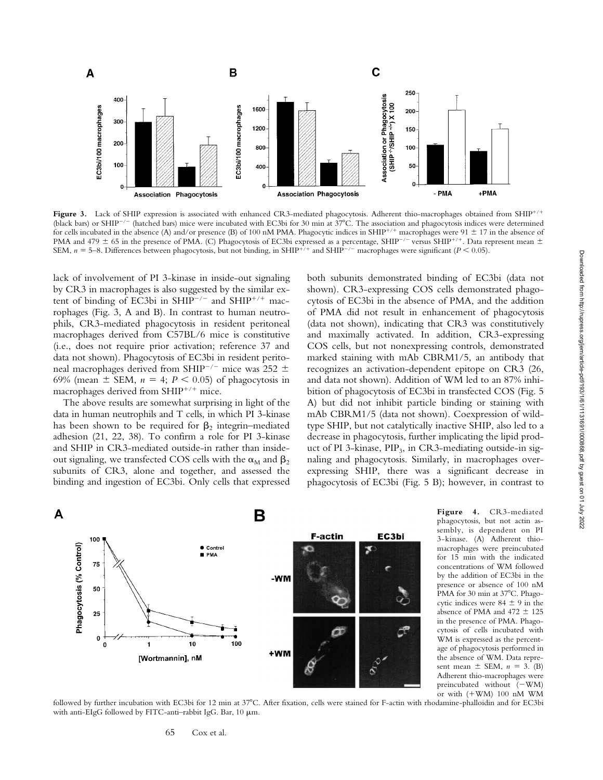

Figure 3. Lack of SHIP expression is associated with enhanced CR3-mediated phagocytosis. Adherent thio-macrophages obtained from SHIP<sup>+/+</sup> (black bars) or SHIP<sup>-/-</sup> (hatched bars) mice were incubated with EC3bi for 30 min at  $37^{\circ}$ C. The association and phagocytosis indices were determined for cells incubated in the absence (A) and/or presence (B) of 100 nM PMA. Phagocytic indices in SHIP<sup>+/+</sup> macrophages were 91  $\pm$  17 in the absence of PMA and 479  $\pm$  65 in the presence of PMA. (C) Phagocytosis of EC3bi expressed as a percentage, SHIP<sup>-/-</sup> versus SHIP<sup>+/+</sup>. Data represent mean  $\pm$ SEM,  $n = 5$ –8. Differences between phagocytosis, but not binding, in SHIP<sup>+/+</sup> and SHIP<sup>-/-</sup> macrophages were significant (*P* < 0.05).

lack of involvement of PI 3-kinase in inside-out signaling by CR3 in macrophages is also suggested by the similar extent of binding of EC3bi in SHIP<sup>-/-</sup> and SHIP<sup>+/+</sup> macrophages (Fig. 3, A and B). In contrast to human neutrophils, CR3-mediated phagocytosis in resident peritoneal macrophages derived from C57BL/6 mice is constitutive (i.e., does not require prior activation; reference 37 and data not shown). Phagocytosis of EC3bi in resident peritoneal macrophages derived from SHIP<sup>-/-</sup> mice was 252  $\pm$ 69% (mean  $\pm$  SEM,  $n = 4$ ;  $P < 0.05$ ) of phagocytosis in macrophages derived from  $SHIP^{+/+}$  mice.

The above results are somewhat surprising in light of the data in human neutrophils and T cells, in which PI 3-kinase has been shown to be required for  $\beta_2$  integrin–mediated adhesion (21, 22, 38). To confirm a role for PI 3-kinase and SHIP in CR3-mediated outside-in rather than insideout signaling, we transfected COS cells with the  $\alpha_M$  and  $\beta_2$ subunits of CR3, alone and together, and assessed the binding and ingestion of EC3bi. Only cells that expressed both subunits demonstrated binding of EC3bi (data not shown). CR3-expressing COS cells demonstrated phagocytosis of EC3bi in the absence of PMA, and the addition of PMA did not result in enhancement of phagocytosis (data not shown), indicating that CR3 was constitutively and maximally activated. In addition, CR3-expressing COS cells, but not nonexpressing controls, demonstrated marked staining with mAb CBRM1/5, an antibody that recognizes an activation-dependent epitope on CR3 (26, and data not shown). Addition of WM led to an 87% inhibition of phagocytosis of EC3bi in transfected COS (Fig. 5 A) but did not inhibit particle binding or staining with mAb CBRM1/5 (data not shown). Coexpression of wildtype SHIP, but not catalytically inactive SHIP, also led to a decrease in phagocytosis, further implicating the lipid product of PI 3-kinase, PIP<sub>3</sub>, in CR3-mediating outside-in signaling and phagocytosis. Similarly, in macrophages overexpressing SHIP, there was a significant decrease in phagocytosis of EC3bi (Fig. 5 B); however, in contrast to



**Figure 4.** CR3-mediated phagocytosis, but not actin assembly, is dependent on PI 3-kinase. (A) Adherent thiomacrophages were preincubated for 15 min with the indicated concentrations of WM followed by the addition of EC3bi in the presence or absence of 100 nM PMA for 30 min at 37°C. Phagocytic indices were  $84 \pm 9$  in the absence of PMA and 472  $\pm$  125 in the presence of PMA. Phagocytosis of cells incubated with WM is expressed as the percentage of phagocytosis performed in the absence of WM. Data represent mean  $\pm$  SEM,  $n = 3$ . (B) Adherent thio-macrophages were preincubated without  $(-WM)$ or with  $(+WM)$  100 nM WM

followed by further incubation with EC3bi for 12 min at 37°C. After fixation, cells were stained for F-actin with rhodamine-phalloidin and for EC3bi with anti-EIgG followed by FITC-anti-rabbit IgG. Bar, 10  $\mu$ m.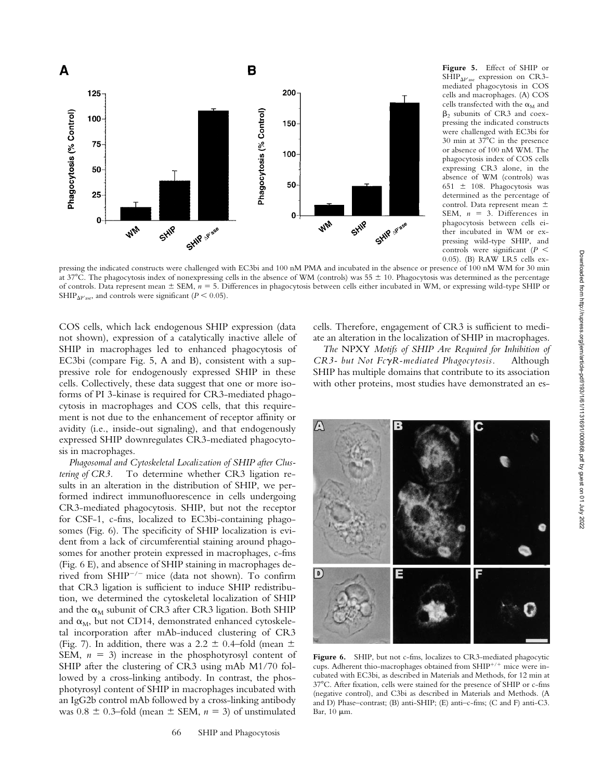

**Figure 5.** Effect of SHIP or  $SHIP<sub>AP'ase</sub>$  expression on CR3mediated phagocytosis in COS cells and macrophages. (A) COS cells transfected with the  $\alpha_M$  and  $\beta_2$  subunits of CR3 and coexpressing the indicated constructs were challenged with EC3bi for  $30$  min at  $37^{\circ}$ C in the presence or absence of 100 nM WM. The phagocytosis index of COS cells expressing CR3 alone, in the absence of WM (controls) was 651  $\pm$  108. Phagocytosis was determined as the percentage of control. Data represent mean  $\pm$ SEM,  $n = 3$ . Differences in phagocytosis between cells either incubated in WM or expressing wild-type SHIP, and controls were significant  $(P \n\leq)$ 0.05). (B) RAW LR5 cells ex-

pressing the indicated constructs were challenged with EC3bi and 100 nM PMA and incubated in the absence or presence of 100 nM WM for 30 min at 37°C. The phagocytosis index of nonexpressing cells in the absence of WM (controls) was 55  $\pm$  10. Phagocytosis was determined as the percentage of controls. Data represent mean  $\pm$  SEM,  $n = 5$ . Differences in phagocytosis between cells either incubated in WM, or expressing wild-type SHIP or SHIP<sub> $\Delta$ P'ase</sub>, and controls were significant (*P* < 0.05).

COS cells, which lack endogenous SHIP expression (data not shown), expression of a catalytically inactive allele of SHIP in macrophages led to enhanced phagocytosis of EC3bi (compare Fig. 5, A and B), consistent with a suppressive role for endogenously expressed SHIP in these cells. Collectively, these data suggest that one or more isoforms of PI 3-kinase is required for CR3-mediated phagocytosis in macrophages and COS cells, that this requirement is not due to the enhancement of receptor affinity or avidity (i.e., inside-out signaling), and that endogenously expressed SHIP downregulates CR3-mediated phagocytosis in macrophages.

*Phagosomal and Cytoskeletal Localization of SHIP after Clustering of CR3.* To determine whether CR3 ligation results in an alteration in the distribution of SHIP, we performed indirect immunofluorescence in cells undergoing CR3-mediated phagocytosis. SHIP, but not the receptor for CSF-1, c-fms, localized to EC3bi-containing phagosomes (Fig. 6). The specificity of SHIP localization is evident from a lack of circumferential staining around phagosomes for another protein expressed in macrophages, c-fms (Fig. 6 E), and absence of SHIP staining in macrophages derived from SHIP<sup>-/-</sup> mice (data not shown). To confirm that CR3 ligation is sufficient to induce SHIP redistribution, we determined the cytoskeletal localization of SHIP and the  $\alpha_M$  subunit of CR3 after CR3 ligation. Both SHIP and  $\alpha_M$ , but not CD14, demonstrated enhanced cytoskeletal incorporation after mAb-induced clustering of CR3 (Fig. 7). In addition, there was a 2.2  $\pm$  0.4–fold (mean  $\pm$ SEM,  $n = 3$ ) increase in the phosphotyrosyl content of SHIP after the clustering of CR3 using mAb M1/70 followed by a cross-linking antibody. In contrast, the phosphotyrosyl content of SHIP in macrophages incubated with an IgG2b control mAb followed by a cross-linking antibody was  $0.8 \pm 0.3$ –fold (mean  $\pm$  SEM,  $n = 3$ ) of unstimulated

cells. Therefore, engagement of CR3 is sufficient to mediate an alteration in the localization of SHIP in macrophages.

*The* NPXY *Motifs of SHIP Are Required for Inhibition of CR3- but Not Fc*g*R-mediated Phagocytosis.* Although SHIP has multiple domains that contribute to its association with other proteins, most studies have demonstrated an es-



Figure 6. SHIP, but not c-fms, localizes to CR3-mediated phagocytic cups. Adherent thio-macrophages obtained from  $SHIP^{+/+}$  mice were incubated with EC3bi, as described in Materials and Methods, for 12 min at 378C. After fixation, cells were stained for the presence of SHIP or c-fms (negative control), and C3bi as described in Materials and Methods. (A and D) Phase–contrast; (B) anti-SHIP; (E) anti–c-fms; (C and F) anti-C3. Bar,  $10 \mu m$ .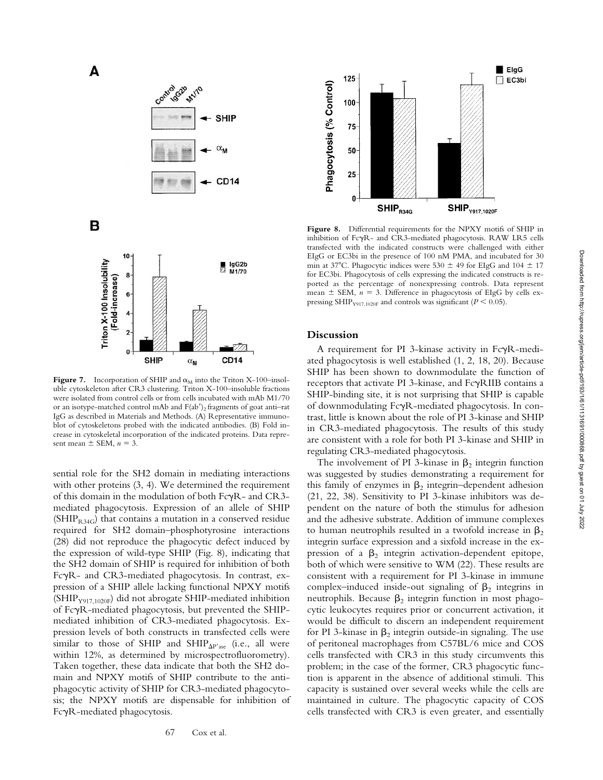

в



**Figure 7.** Incorporation of SHIP and  $\alpha_M$  into the Triton X-100–insoluble cytoskeleton after CR3 clustering. Triton X-100–insoluble fractions were isolated from control cells or from cells incubated with mAb M1/70 or an isotype-matched control mAb and  $F(ab')_2$  fragments of goat anti-rat IgG as described in Materials and Methods. (A) Representative immunoblot of cytoskeletons probed with the indicated antibodies. (B) Fold increase in cytoskeletal incorporation of the indicated proteins. Data represent mean  $\pm$  SEM,  $n = 3$ .

sential role for the SH2 domain in mediating interactions with other proteins  $(3, 4)$ . We determined the requirement of this domain in the modulation of both  $Fe\gamma R$ - and  $CR3$ mediated phagocytosis. Expression of an allele of SHIP  $(SHIP_{R,34G})$  that contains a mutation in a conserved residue required for SH2 domain–phosphotyrosine interactions (28) did not reproduce the phagocytic defect induced by the expression of wild-type SHIP (Fig. 8), indicating that the SH2 domain of SHIP is required for inhibition of both FcgR- and CR3-mediated phagocytosis. In contrast, expression of a SHIP allele lacking functional NPXY motifs  $(SHIP<sub>Y917,1020F</sub>)$  did not abrogate SHIP-mediated inhibition of FcgR-mediated phagocytosis, but prevented the SHIPmediated inhibition of CR3-mediated phagocytosis. Expression levels of both constructs in transfected cells were similar to those of SHIP and SHIP $_{\Delta P'$ ase (i.e., all were within 12%, as determined by microspectrofluorometry). Taken together, these data indicate that both the SH2 domain and NPXY motifs of SHIP contribute to the antiphagocytic activity of SHIP for CR3-mediated phagocytosis; the NPXY motifs are dispensable for inhibition of FcgR-mediated phagocytosis.



Figure 8. Differential requirements for the NPXY motifs of SHIP in inhibition of FcyR- and CR3-mediated phagocytosis. RAW LR5 cells transfected with the indicated constructs were challenged with either EIgG or EC3bi in the presence of 100 nM PMA, and incubated for 30 min at 37°C. Phagocytic indices were 530  $\pm$  49 for EIgG and 104  $\pm$  17 for EC3bi. Phagocytosis of cells expressing the indicated constructs is reported as the percentage of nonexpressing controls. Data represent mean  $\pm$  SEM,  $n = 3$ . Difference in phagocytosis of EIgG by cells expressing SHIP<sub>Y917,1020F</sub> and controls was significant ( $P < 0.05$ ).

## **Discussion**

A requirement for PI 3-kinase activity in FcyR-mediated phagocytosis is well established (1, 2, 18, 20). Because SHIP has been shown to downmodulate the function of receptors that activate PI 3-kinase, and FcgRIIB contains a SHIP-binding site, it is not surprising that SHIP is capable of downmodulating FcgR-mediated phagocytosis. In contrast, little is known about the role of PI 3-kinase and SHIP in CR3-mediated phagocytosis. The results of this study are consistent with a role for both PI 3-kinase and SHIP in regulating CR3-mediated phagocytosis.

The involvement of PI 3-kinase in  $\beta_2$  integrin function was suggested by studies demonstrating a requirement for this family of enzymes in  $\beta_2$  integrin–dependent adhesion (21, 22, 38). Sensitivity to PI 3-kinase inhibitors was dependent on the nature of both the stimulus for adhesion and the adhesive substrate. Addition of immune complexes to human neutrophils resulted in a twofold increase in  $\beta_2$ integrin surface expression and a sixfold increase in the expression of a  $\beta_2$  integrin activation-dependent epitope, both of which were sensitive to WM (22). These results are consistent with a requirement for PI 3-kinase in immune complex–induced inside-out signaling of  $\beta_2$  integrins in neutrophils. Because  $\beta_2$  integrin function in most phagocytic leukocytes requires prior or concurrent activation, it would be difficult to discern an independent requirement for PI 3-kinase in  $\beta_2$  integrin outside-in signaling. The use of peritoneal macrophages from C57BL/6 mice and COS cells transfected with CR3 in this study circumvents this problem; in the case of the former, CR3 phagocytic function is apparent in the absence of additional stimuli. This capacity is sustained over several weeks while the cells are maintained in culture. The phagocytic capacity of COS cells transfected with CR3 is even greater, and essentially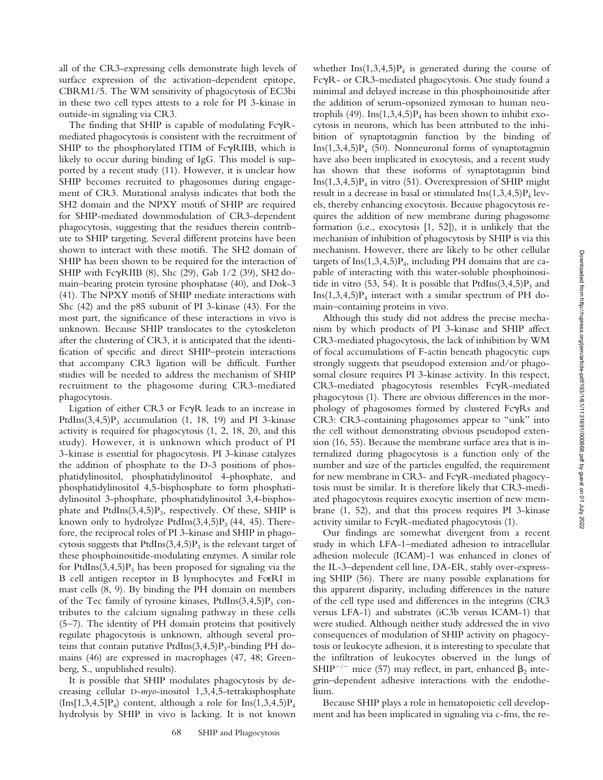all of the CR3-expressing cells demonstrate high levels of surface expression of the activation-dependent epitope, CBRM1/5. The WM sensitivity of phagocytosis of EC3bi in these two cell types attests to a role for PI 3-kinase in outside-in signaling via CR3.

The finding that SHIP is capable of modulating  $Fc\gamma R$ mediated phagocytosis is consistent with the recruitment of SHIP to the phosphorylated ITIM of FcyRIIB, which is likely to occur during binding of IgG. This model is supported by a recent study (11). However, it is unclear how SHIP becomes recruited to phagosomes during engagement of CR3. Mutational analysis indicates that both the SH2 domain and the NPXY motifs of SHIP are required for SHIP-mediated downmodulation of CR3-dependent phagocytosis, suggesting that the residues therein contribute to SHIP targeting. Several different proteins have been shown to interact with these motifs. The SH2 domain of SHIP has been shown to be required for the interaction of SHIP with Fc $\gamma$ RIIB (8), Shc (29), Gab 1/2 (39), SH2 domain–bearing protein tyrosine phosphatase (40), and Dok-3 (41). The NPXY motifs of SHIP mediate interactions with Shc (42) and the p85 subunit of PI 3-kinase (43). For the most part, the significance of these interactions in vivo is unknown. Because SHIP translocates to the cytoskeleton after the clustering of CR3, it is anticipated that the identification of specific and direct SHIP–protein interactions that accompany CR3 ligation will be difficult. Further studies will be needed to address the mechanism of SHIP recruitment to the phagosome during CR3-mediated phagocytosis.

Ligation of either CR3 or FcyR leads to an increase in PtdIns $(3,4,5)P_3$  accumulation  $(1, 18, 19)$  and PI 3-kinase activity is required for phagocytosis (1, 2, 18, 20, and this study). However, it is unknown which product of PI 3-kinase is essential for phagocytosis. PI 3-kinase catalyzes the addition of phosphate to the D-3 positions of phosphatidylinositol, phosphatidylinositol 4-phosphate, and phosphatidylinositol 4,5-bisphosphate to form phosphatidylinositol 3-phosphate, phosphatidylinositol 3,4-bisphosphate and PtdIns $(3,4,5)P_3$ , respectively. Of these, SHIP is known only to hydrolyze PtdIns $(3,4,5)P_3$  (44, 45). Therefore, the reciprocal roles of PI 3-kinase and SHIP in phagocytosis suggests that  $PtdIns(3,4,5)P_3$  is the relevant target of these phosphoinositide-modulating enzymes. A similar role for PtdIns $(3,4,5)P_3$  has been proposed for signaling via the B cell antigen receptor in B lymphocytes and FceRI in mast cells (8, 9). By binding the PH domain on members of the Tec family of tyrosine kinases, PtdIns(3,4,5) $P_3$  contributes to the calcium signaling pathway in these cells (5–7). The identity of PH domain proteins that positively regulate phagocytosis is unknown, although several proteins that contain putative PtdIns $(3,4,5)P_3$ -binding PH domains (46) are expressed in macrophages (47, 48; Greenberg, S., unpublished results).

It is possible that SHIP modulates phagocytosis by decreasing cellular D-*myo*-inositol 1,3,4,5-tetrakisphosphate  $(Ins[1,3,4,5]P<sub>4</sub>)$  content, although a role for  $Ins(1,3,4,5)P<sub>4</sub>$ hydrolysis by SHIP in vivo is lacking. It is not known whether  $\text{Ins}(1,3,4,5)P_4$  is generated during the course of FcgR- or CR3-mediated phagocytosis. One study found a minimal and delayed increase in this phosphoinositide after the addition of serum-opsonized zymosan to human neutrophils (49). Ins $(1,3,4,5)P_4$  has been shown to inhibit exocytosis in neurons, which has been attributed to the inhibition of synaptotagmin function by the binding of  $Ins(1,3,4,5)P_4$  (50). Nonneuronal forms of synaptotagmin have also been implicated in exocytosis, and a recent study has shown that these isoforms of synaptotagmin bind  $Ins(1,3,4,5)P_4$  in vitro (51). Overexpression of SHIP might result in a decrease in basal or stimulated  $Ins(1,3,4,5)P_4$  levels, thereby enhancing exocytosis. Because phagocytosis requires the addition of new membrane during phagosome formation (i.e., exocytosis [1, 52]), it is unlikely that the mechanism of inhibition of phagocytosis by SHIP is via this mechanism. However, there are likely to be other cellular targets of  $Ins(1,3,4,5)P_4$ , including PH domains that are capable of interacting with this water-soluble phosphoinositide in vitro (53, 54). It is possible that  $PtdIns(3,4,5)P_3$  and Ins $(1,3,4,5)P_4$  interact with a similar spectrum of PH domain–containing proteins in vivo.

Although this study did not address the precise mechanism by which products of PI 3-kinase and SHIP affect CR3-mediated phagocytosis, the lack of inhibition by WM of focal accumulations of F-actin beneath phagocytic cups strongly suggests that pseudopod extension and/or phagosomal closure requires PI 3-kinase activity. In this respect, CR3-mediated phagocytosis resembles FcyR-mediated phagocytosis (1). There are obvious differences in the morphology of phagosomes formed by clustered  $Fc\gamma Rs$  and CR3: CR3-containing phagosomes appear to "sink" into the cell without demonstrating obvious pseudopod extension (16, 55). Because the membrane surface area that is internalized during phagocytosis is a function only of the number and size of the particles engulfed, the requirement for new membrane in CR3- and FcgR-mediated phagocytosis must be similar. It is therefore likely that CR3-mediated phagocytosis requires exocytic insertion of new membrane (1, 52), and that this process requires PI 3-kinase activity similar to  $Fc\gamma R$ -mediated phagocytosis (1).

Our findings are somewhat divergent from a recent study in which LFA-1–mediated adhesion to intracellular adhesion molecule (ICAM)-1 was enhanced in clones of the IL-3–dependent cell line, DA-ER, stably over-expressing SHIP (56). There are many possible explanations for this apparent disparity, including differences in the nature of the cell type used and differences in the integrins (CR3 versus LFA-1) and substrates (iC3b versus ICAM-1) that were studied. Although neither study addressed the in vivo consequences of modulation of SHIP activity on phagocytosis or leukocyte adhesion, it is interesting to speculate that the infiltration of leukocytes observed in the lungs of SHIP<sup>-/-</sup> mice (57) may reflect, in part, enhanced  $\beta_2$  integrin–dependent adhesive interactions with the endothelium.

Because SHIP plays a role in hematopoietic cell development and has been implicated in signaling via c-fms, the re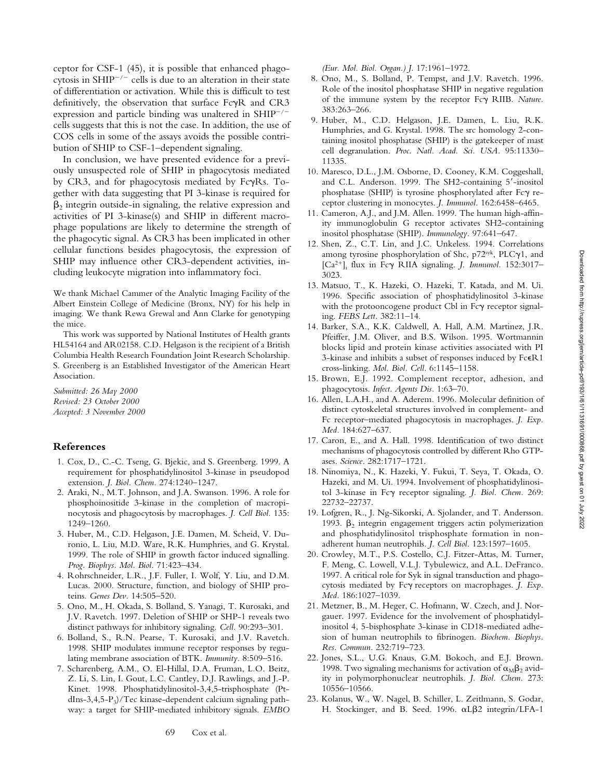ceptor for CSF-1 (45), it is possible that enhanced phagocytosis in SHIP<sup> $-/-$ </sup> cells is due to an alteration in their state of differentiation or activation. While this is difficult to test definitively, the observation that surface FcyR and CR3 expression and particle binding was unaltered in SHIP<sup>-/-</sup> cells suggests that this is not the case. In addition, the use of COS cells in some of the assays avoids the possible contribution of SHIP to CSF-1–dependent signaling.

In conclusion, we have presented evidence for a previously unsuspected role of SHIP in phagocytosis mediated by CR3, and for phagocytosis mediated by FcyRs. Together with data suggesting that PI 3-kinase is required for  $\beta_2$  integrin outside-in signaling, the relative expression and activities of PI 3-kinase(s) and SHIP in different macrophage populations are likely to determine the strength of the phagocytic signal. As CR3 has been implicated in other cellular functions besides phagocytosis, the expression of SHIP may influence other CR3-dependent activities, including leukocyte migration into inflammatory foci.

We thank Michael Cammer of the Analytic Imaging Facility of the Albert Einstein College of Medicine (Bronx, NY) for his help in imaging. We thank Rewa Grewal and Ann Clarke for genotyping the mice.

This work was supported by National Institutes of Health grants HL54164 and AR02158. C.D. Helgason is the recipient of a British Columbia Health Research Foundation Joint Research Scholarship. S. Greenberg is an Established Investigator of the American Heart Association.

*Submitted: 26 May 2000 Revised: 23 October 2000 Accepted: 3 November 2000*

#### **References**

- 1. Cox, D., C.-C. Tseng, G. Bjekic, and S. Greenberg. 1999. A requirement for phosphatidylinositol 3-kinase in pseudopod extension. *J. Biol. Chem.* 274:1240–1247.
- 2. Araki, N., M.T. Johnson, and J.A. Swanson. 1996. A role for phosphoinositide 3-kinase in the completion of macropinocytosis and phagocytosis by macrophages. *J. Cell Biol.* 135: 1249–1260.
- 3. Huber, M., C.D. Helgason, J.E. Damen, M. Scheid, V. Duronio, L. Liu, M.D. Ware, R.K. Humphries, and G. Krystal. 1999. The role of SHIP in growth factor induced signalling. *Prog. Biophys. Mol. Biol.* 71:423–434.
- 4. Rohrschneider, L.R., J.F. Fuller, I. Wolf, Y. Liu, and D.M. Lucas. 2000. Structure, function, and biology of SHIP proteins. *Genes Dev.* 14:505–520.
- 5. Ono, M., H. Okada, S. Bolland, S. Yanagi, T. Kurosaki, and J.V. Ravetch. 1997. Deletion of SHIP or SHP-1 reveals two distinct pathways for inhibitory signaling. *Cell.* 90:293–301.
- 6. Bolland, S., R.N. Pearse, T. Kurosaki, and J.V. Ravetch. 1998. SHIP modulates immune receptor responses by regulating membrane association of BTK. *Immunity.* 8:509–516.
- 7. Scharenberg, A.M., O. El-Hillal, D.A. Fruman, L.O. Beitz, Z. Li, S. Lin, I. Gout, L.C. Cantley, D.J. Rawlings, and J.-P. Kinet. 1998. Phosphatidylinositol-3,4,5-trisphosphate (PtdIns-3,4,5-P3)/Tec kinase-dependent calcium signaling pathway: a target for SHIP-mediated inhibitory signals. *EMBO*

*(Eur. Mol. Biol. Organ.) J.* 17:1961–1972.

- 8. Ono, M., S. Bolland, P. Tempst, and J.V. Ravetch. 1996. Role of the inositol phosphatase SHIP in negative regulation of the immune system by the receptor Fcg RIIB. *Nature.* 383:263–266.
- 9. Huber, M., C.D. Helgason, J.E. Damen, L. Liu, R.K. Humphries, and G. Krystal. 1998. The src homology 2-containing inositol phosphatase (SHIP) is the gatekeeper of mast cell degranulation. *Proc. Natl. Acad. Sci. USA.* 95:11330– 11335.
- 10. Maresco, D.L., J.M. Osborne, D. Cooney, K.M. Coggeshall, and C.L. Anderson. 1999. The SH2-containing 5'-inositol phosphatase (SHIP) is tyrosine phosphorylated after Fc $\gamma$  receptor clustering in monocytes. *J. Immunol.* 162:6458–6465.
- 11. Cameron, A.J., and J.M. Allen. 1999. The human high-affinity immunoglobulin G receptor activates SH2-containing inositol phosphatase (SHIP). *Immunology.* 97:641–647.
- 12. Shen, Z., C.T. Lin, and J.C. Unkeless. 1994. Correlations among tyrosine phosphorylation of Shc,  $p72$ <sup>syk</sup>, PLC $\gamma$ 1, and [Ca<sup>2+</sup>]<sub>i</sub> flux in Fcγ RIIA signaling. *J. Immunol.* 152:3017-3023.
- 13. Matsuo, T., K. Hazeki, O. Hazeki, T. Katada, and M. Ui. 1996. Specific association of phosphatidylinositol 3-kinase with the protooncogene product Cbl in  $Fc\gamma$  receptor signaling. *FEBS Lett.* 382:11–14.
- 14. Barker, S.A., K.K. Caldwell, A. Hall, A.M. Martinez, J.R. Pfeiffer, J.M. Oliver, and B.S. Wilson. 1995. Wortmannin blocks lipid and protein kinase activities associated with PI 3-kinase and inhibits a subset of responses induced by FceR1 cross-linking. *Mol. Biol. Cell.* 6:1145–1158.
- 15. Brown, E.J. 1992. Complement receptor, adhesion, and phagocytosis. *Infect. Agents Dis.* 1:63–70.
- 16. Allen, L.A.H., and A. Aderem. 1996. Molecular definition of distinct cytoskeletal structures involved in complement- and Fc receptor–mediated phagocytosis in macrophages. *J. Exp. Med.* 184:627–637.
- 17. Caron, E., and A. Hall. 1998. Identification of two distinct mechanisms of phagocytosis controlled by different Rho GTPases. *Science.* 282:1717–1721.
- 18. Ninomiya, N., K. Hazeki, Y. Fukui, T. Seya, T. Okada, O. Hazeki, and M. Ui. 1994. Involvement of phosphatidylinositol 3-kinase in Fcg receptor signaling. *J. Biol. Chem.* 269: 22732–22737.
- 19. Lofgren, R., J. Ng-Sikorski, A. Sjolander, and T. Andersson. 1993.  $\beta_2$  integrin engagement triggers actin polymerization and phosphatidylinositol trisphosphate formation in nonadherent human neutrophils. *J. Cell Biol.* 123:1597–1605.
- 20. Crowley, M.T., P.S. Costello, C.J. Fitzer-Attas, M. Turner, F. Meng, C. Lowell, V.L.J. Tybulewicz, and A.L. DeFranco. 1997. A critical role for Syk in signal transduction and phagocytosis mediated by Fcg receptors on macrophages. *J. Exp. Med.* 186:1027–1039.
- 21. Metzner, B., M. Heger, C. Hofmann, W. Czech, and J. Norgauer. 1997. Evidence for the involvement of phosphatidylinositol 4, 5-bisphosphate 3-kinase in CD18-mediated adhesion of human neutrophils to fibrinogen. *Biochem. Biophys. Res. Commun.* 232:719–723.
- 22. Jones, S.L., U.G. Knaus, G.M. Bokoch, and E.J. Brown. 1998. Two signaling mechanisms for activation of  $\alpha_{\text{M}}\beta_2$  avidity in polymorphonuclear neutrophils. *J. Biol. Chem.* 273: 10556–10566.
- 23. Kolanus, W., W. Nagel, B. Schiller, L. Zeitlmann, S. Godar, H. Stockinger, and B. Seed. 1996.  $\alpha L\beta$ 2 integrin/LFA-1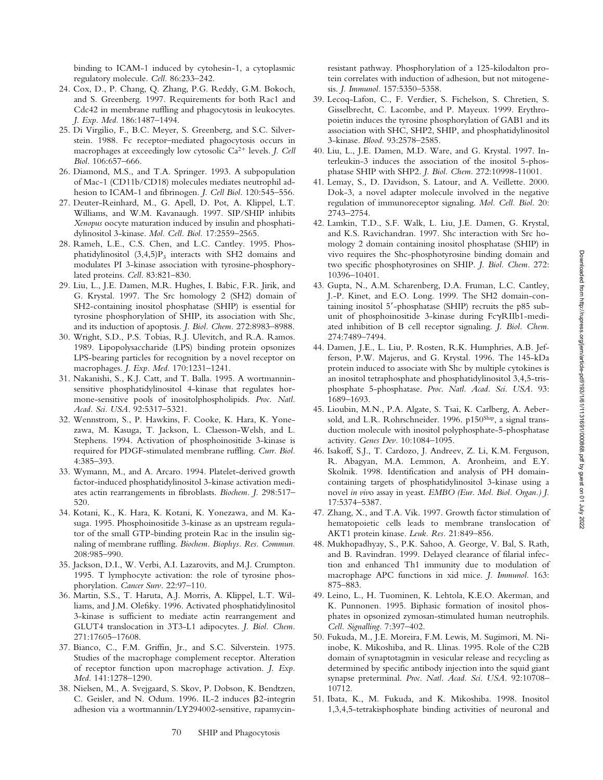binding to ICAM-1 induced by cytohesin-1, a cytoplasmic regulatory molecule. *Cell.* 86:233–242.

- 24. Cox, D., P. Chang, Q. Zhang, P.G. Reddy, G.M. Bokoch, and S. Greenberg. 1997. Requirements for both Rac1 and Cdc42 in membrane ruffling and phagocytosis in leukocytes. *J. Exp. Med.* 186:1487–1494.
- 25. Di Virgilio, F., B.C. Meyer, S. Greenberg, and S.C. Silverstein. 1988. Fc receptor–mediated phagocytosis occurs in macrophages at exceedingly low cytosolic Ca<sup>2+</sup> levels. *J. Cell Biol.* 106:657–666.
- 26. Diamond, M.S., and T.A. Springer. 1993. A subpopulation of Mac-1 (CD11b/CD18) molecules mediates neutrophil adhesion to ICAM-1 and fibrinogen. *J. Cell Biol.* 120:545–556.
- 27. Deuter-Reinhard, M., G. Apell, D. Pot, A. Klippel, L.T. Williams, and W.M. Kavanaugh. 1997. SIP/SHIP inhibits *Xenopus* oocyte maturation induced by insulin and phosphatidylinositol 3-kinase. *Mol. Cell. Biol.* 17:2559–2565.
- 28. Rameh, L.E., C.S. Chen, and L.C. Cantley. 1995. Phosphatidylinositol  $(3,4,5)P_3$  interacts with SH2 domains and modulates PI 3-kinase association with tyrosine-phosphorylated proteins. *Cell.* 83:821–830.
- 29. Liu, L., J.E. Damen, M.R. Hughes, I. Babic, F.R. Jirik, and G. Krystal. 1997. The Src homology 2 (SH2) domain of SH2-containing inositol phosphatase (SHIP) is essential for tyrosine phosphorylation of SHIP, its association with Shc, and its induction of apoptosis. *J. Biol. Chem.* 272:8983–8988.
- 30. Wright, S.D., P.S. Tobias, R.J. Ulevitch, and R.A. Ramos. 1989. Lipopolysaccharide (LPS) binding protein opsonizes LPS-bearing particles for recognition by a novel receptor on macrophages. *J. Exp. Med.* 170:1231–1241.
- 31. Nakanishi, S., K.J. Catt, and T. Balla. 1995. A wortmanninsensitive phosphatidylinositol 4-kinase that regulates hormone-sensitive pools of inositolphospholipids. *Proc. Natl. Acad. Sci. USA.* 92:5317–5321.
- 32. Wennstrom, S., P. Hawkins, F. Cooke, K. Hara, K. Yonezawa, M. Kasuga, T. Jackson, L. Claesson-Welsh, and L. Stephens. 1994. Activation of phosphoinositide 3-kinase is required for PDGF-stimulated membrane ruffling. *Curr. Biol.* 4:385–393.
- 33. Wymann, M., and A. Arcaro. 1994. Platelet-derived growth factor-induced phosphatidylinositol 3-kinase activation mediates actin rearrangements in fibroblasts. *Biochem. J.* 298:517– 520.
- 34. Kotani, K., K. Hara, K. Kotani, K. Yonezawa, and M. Kasuga. 1995. Phosphoinositide 3-kinase as an upstream regulator of the small GTP-binding protein Rac in the insulin signaling of membrane ruffling. *Biochem. Biophys. Res. Commun.* 208:985–990.
- 35. Jackson, D.I., W. Verbi, A.I. Lazarovits, and M.J. Crumpton. 1995. T lymphocyte activation: the role of tyrosine phosphorylation. *Cancer Surv.* 22:97–110.
- 36. Martin, S.S., T. Haruta, A.J. Morris, A. Klippel, L.T. Williams, and J.M. Olefsky. 1996. Activated phosphatidylinositol 3-kinase is sufficient to mediate actin rearrangement and GLUT4 translocation in 3T3-L1 adipocytes. *J. Biol. Chem.* 271:17605–17608.
- 37. Bianco, C., F.M. Griffin, Jr., and S.C. Silverstein. 1975. Studies of the macrophage complement receptor. Alteration of receptor function upon macrophage activation. *J. Exp. Med.* 141:1278–1290.
- 38. Nielsen, M., A. Svejgaard, S. Skov, P. Dobson, K. Bendtzen, C. Geisler, and N. Odum. 1996. IL-2 induces  $\beta$ 2-integrin adhesion via a wortmannin/LY294002-sensitive, rapamycin-

resistant pathway. Phosphorylation of a 125-kilodalton protein correlates with induction of adhesion, but not mitogenesis. *J. Immunol.* 157:5350–5358.

- 39. Lecoq-Lafon, C., F. Verdier, S. Fichelson, S. Chretien, S. Gisselbrecht, C. Lacombe, and P. Mayeux. 1999. Erythropoietin induces the tyrosine phosphorylation of GAB1 and its association with SHC, SHP2, SHIP, and phosphatidylinositol 3-kinase. *Blood.* 93:2578–2585.
- 40. Liu, L., J.E. Damen, M.D. Ware, and G. Krystal. 1997. Interleukin-3 induces the association of the inositol 5-phosphatase SHIP with SHP2. *J. Biol. Chem.* 272:10998-11001.
- 41. Lemay, S., D. Davidson, S. Latour, and A. Veillette. 2000. Dok-3, a novel adapter molecule involved in the negative regulation of immunoreceptor signaling. *Mol. Cell. Biol.* 20: 2743–2754.
- 42. Lamkin, T.D., S.F. Walk, L. Liu, J.E. Damen, G. Krystal, and K.S. Ravichandran. 1997. Shc interaction with Src homology 2 domain containing inositol phosphatase (SHIP) in vivo requires the Shc-phosphotyrosine binding domain and two specific phosphotyrosines on SHIP. *J. Biol. Chem.* 272: 10396–10401.
- 43. Gupta, N., A.M. Scharenberg, D.A. Fruman, L.C. Cantley, J.-P. Kinet, and E.O. Long. 1999. The SH2 domain-containing inositol  $5'$ -phosphatase (SHIP) recruits the p85 subunit of phosphoinositide 3-kinase during  $Fc\gamma RIIb1$ -mediated inhibition of B cell receptor signaling. *J. Biol. Chem.* 274:7489–7494.
- 44. Damen, J.E., L. Liu, P. Rosten, R.K. Humphries, A.B. Jefferson, P.W. Majerus, and G. Krystal. 1996. The 145-kDa protein induced to associate with Shc by multiple cytokines is an inositol tetraphosphate and phosphatidylinositol 3,4,5-trisphosphate 5-phosphatase. *Proc. Natl. Acad. Sci. USA.* 93: 1689–1693.
- 45. Lioubin, M.N., P.A. Algate, S. Tsai, K. Carlberg, A. Aebersold, and L.R. Rohrschneider. 1996. p150Ship, a signal transduction molecule with inositol polyphosphate-5-phosphatase activity. *Genes Dev.* 10:1084–1095.
- 46. Isakoff, S.J., T. Cardozo, J. Andreev, Z. Li, K.M. Ferguson, R. Abagyan, M.A. Lemmon, A. Aronheim, and E.Y. Skolnik. 1998. Identification and analysis of PH domaincontaining targets of phosphatidylinositol 3-kinase using a novel *in viv*o assay in yeast. *EMBO (Eur. Mol. Biol. Organ.) J.* 17:5374–5387.
- 47. Zhang, X., and T.A. Vik. 1997. Growth factor stimulation of hematopoietic cells leads to membrane translocation of AKT1 protein kinase. *Leuk. Res.* 21:849–856.
- 48. Mukhopadhyay, S., P.K. Sahoo, A. George, V. Bal, S. Rath, and B. Ravindran. 1999. Delayed clearance of filarial infection and enhanced Th1 immunity due to modulation of macrophage APC functions in xid mice. *J. Immunol.* 163: 875–883.
- 49. Leino, L., H. Tuominen, K. Lehtola, K.E.O. Akerman, and K. Punnonen. 1995. Biphasic formation of inositol phosphates in opsonized zymosan-stimulated human neutrophils. *Cell. Signalling.* 7:397–402.
- 50. Fukuda, M., J.E. Moreira, F.M. Lewis, M. Sugimori, M. Niinobe, K. Mikoshiba, and R. Llinas. 1995. Role of the C2B domain of synaptotagmin in vesicular release and recycling as determined by specific antibody injection into the squid giant synapse preterminal. *Proc. Natl. Acad. Sci. USA.* 92:10708– 10712.
- 51. Ibata, K., M. Fukuda, and K. Mikoshiba. 1998. Inositol 1,3,4,5-tetrakisphosphate binding activities of neuronal and